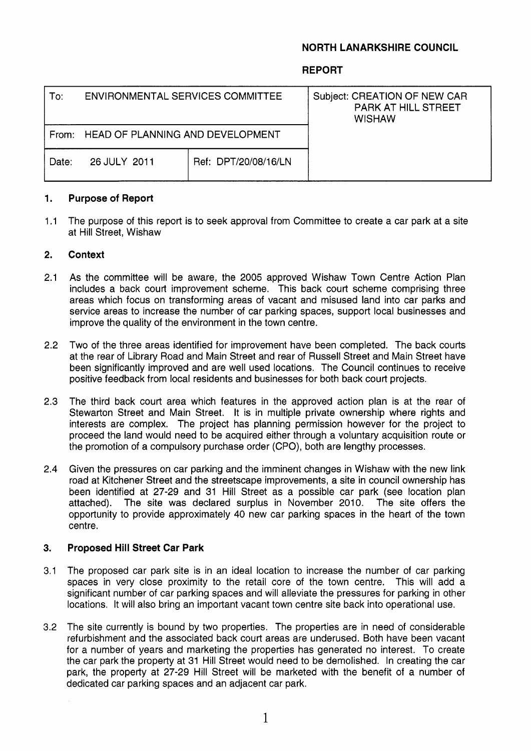## **NORTH LANARKSHIRE COUNCIL**

### **REPORT**

| To:   | ENVIRONMENTAL SERVICES COMMITTEE        |                      | Subject: CREATION OF NEW CAR<br><b>PARK AT HILL STREET</b><br><b>WISHAW</b> |
|-------|-----------------------------------------|----------------------|-----------------------------------------------------------------------------|
| From: | <b>HEAD OF PLANNING AND DEVELOPMENT</b> |                      |                                                                             |
| Date: | 26 JULY 2011                            | Ref: DPT/20/08/16/LN |                                                                             |
|       |                                         |                      |                                                                             |

#### **1. Purpose of Report**

 $1.1$ The purpose of this report is to seek approval from Committee to create a car park at a site at Hill Street, Wishaw

#### **2. Context**

- 2.1 As the committee will be aware, the 2005 approved Wishaw Town Centre Action Plan includes a back court improvement scheme. This back court scheme comprising three areas which focus on transforming areas of vacant and misused land into car parks and service areas to increase the number of car parking spaces, support local businesses and improve the quality of the environment in the town centre.
- 2.2 Two of the three areas identified for improvement have been completed. The back courts at the rear of Library Road and Main Street and rear of Russell Street and Main Street have been significantly improved and are well used locations. The Council continues to receive positive feedback from local residents and businesses for both back court projects.
- 2.3 The third back court area which features in the approved action plan is at the rear of Stewarton Street and Main Street. It is in multiple private ownership where rights and interests are complex. The project has planning permission however for the project to proceed the land would need to be acquired either through a voluntary acquisition route or the promotion of a compulsory purchase order (CPO), both are lengthy processes.
- 2.4 Given the pressures on car parking and the imminent changes in Wishaw with the new link road at Kitchener Street and the streetscape improvements, a site in council ownership has been identified at 27-29 and 31 Hill Street as a possible car park (see location plan attached). The site was declared surplus in November 2010. The site offers the opportunity to provide approximately 40 new car parking spaces in the heart of the town centre.

#### **3. Proposed Hill Street Car Park**

- 3.1 The proposed car park site is in an ideal location to increase the number of car parking spaces in very close proximity to the retail core of the town centre. This will add a significant number of car parking spaces and will alleviate the pressures for parking in other locations. It will also bring an important vacant town centre site back into operational use.
- 3.2 The site currently is bound by two properties. The properties are in need of considerable refurbishment and the associated back court areas are underused. Both have been vacant for a number of years and marketing the properties has generated no interest. To create the car park the property at 31 Hill Street would need to be demolished. In creating the car park, the property at 27-29 Hill Street will be marketed with the benefit of a number of dedicated car parking spaces and an adjacent car park.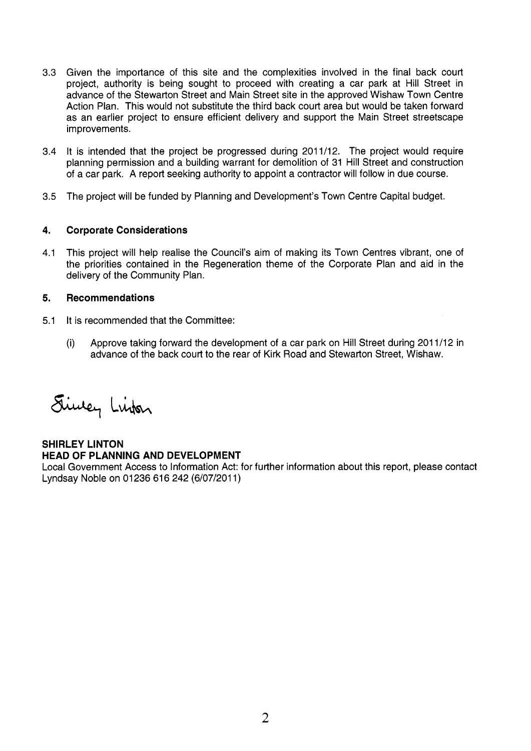- 3.3 Given the importance of this site and the complexities involved in the final back court project, authority is being sought to proceed with creating a car park at Hill Street in advance of the Stewarton Street and Main Street site in the approved Wishaw Town Centre Action Plan. This would not substitute the third back court area but would be taken forward as an earlier project to ensure efficient delivery and support the Main Street streetscape improvements.
- 3.4 It is intended that the project be progressed during 2011/12. The project would require planning permission and a building warrant for demolition of 31 Hill Street and construction of a car park. A report seeking authority to appoint a contractor will follow in due course.
- 3.5 The project will be funded by Planning and Development's Town Centre Capital budget.

#### **4. Corporate Considerations**

4.1 This project will help realise the Council's aim of making its Town Centres vibrant, one of the priorities contained in the Regeneration theme of the Corporate Plan and aid in the delivery of the Community Plan.

#### **5. Recommendations**

- 5.1 It is recommended that the Committee:
	- (i) Approve taking forward the development of a car park on Hill Street during 201 1/12 in advance of the back court to the rear of Kirk Road and Stewarton Street, Wishaw.

Sincey Linker

# **SHIRLEY LINTON HEAD OF PLANNING AND DEVELOPMENT**

Local Government Access to Information Act: for further information about this report, please contact Lyndsay Noble on 01236 616 242 (6/07/2011)